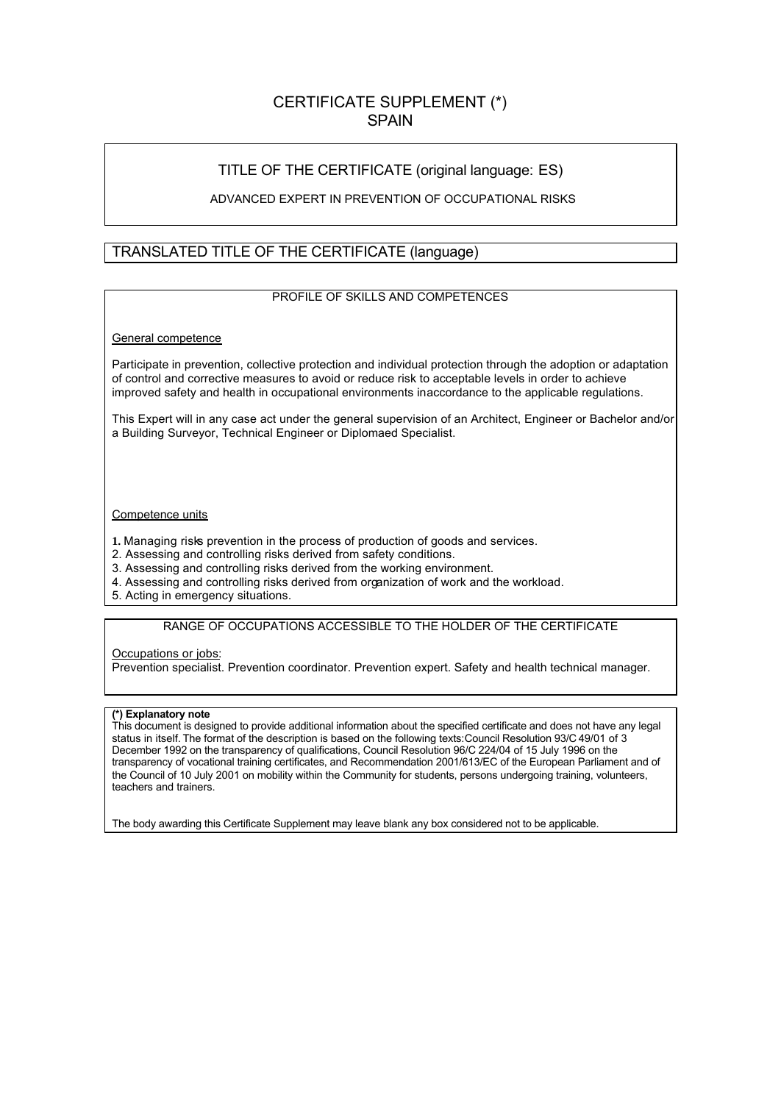# CERTIFICATE SUPPLEMENT (\*) **SPAIN**

## TITLE OF THE CERTIFICATE (original language: ES)

### ADVANCED EXPERT IN PREVENTION OF OCCUPATIONAL RISKS

### TRANSLATED TITLE OF THE CERTIFICATE (language)

### PROFILE OF SKILLS AND COMPETENCES

#### General competence

Participate in prevention, collective protection and individual protection through the adoption or adaptation of control and corrective measures to avoid or reduce risk to acceptable levels in order to achieve improved safety and health in occupational environments in accordance to the applicable regulations.

This Expert will in any case act under the general supervision of an Architect, Engineer or Bachelor and/or a Building Surveyor, Technical Engineer or Diplomaed Specialist.

#### Competence units

- **1.** Managing risks prevention in the process of production of goods and services.
- 2. Assessing and controlling risks derived from safety conditions.
- 3. Assessing and controlling risks derived from the working environment.
- 4. Assessing and controlling risks derived from organization of work and the workload.
- 5. Acting in emergency situations.

### RANGE OF OCCUPATIONS ACCESSIBLE TO THE HOLDER OF THE CERTIFICATE

#### Occupations or jobs:

Prevention specialist. Prevention coordinator. Prevention expert. Safety and health technical manager.

#### **(\*) Explanatory note**

This document is designed to provide additional information about the specified certificate and does not have any legal status in itself. The format of the description is based on the following texts:Council Resolution 93/C 49/01 of 3 December 1992 on the transparency of qualifications, Council Resolution 96/C 224/04 of 15 July 1996 on the transparency of vocational training certificates, and Recommendation 2001/613/EC of the European Parliament and of the Council of 10 July 2001 on mobility within the Community for students, persons undergoing training, volunteers, teachers and trainers.

The body awarding this Certificate Supplement may leave blank any box considered not to be applicable.